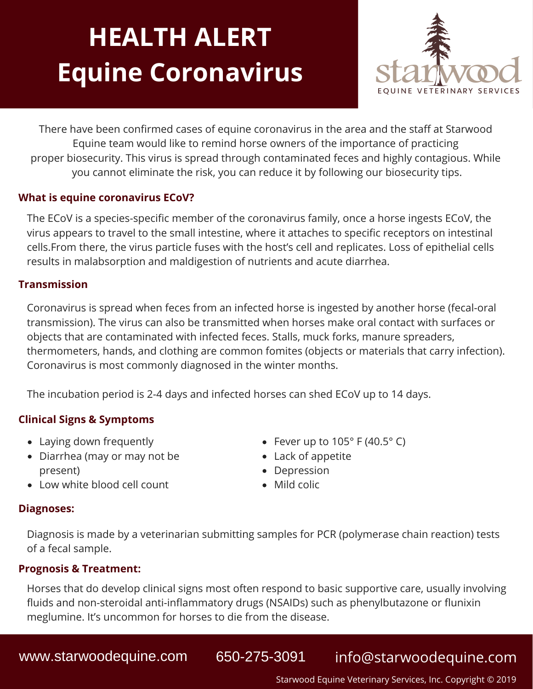# **HEALTH ALERT Equine Coronavirus**



There have been confirmed cases of equine coronavirus in the area and the staff at Starwood Equine team would like to remind horse owners of the importance of practicing proper biosecurity. This virus is spread through contaminated feces and highly contagious. While you cannot eliminate the risk, you can reduce it by following our biosecurity tips.

### **What is equine coronavirus ECoV?**

The ECoV is a species-specific member of the coronavirus family, once a horse ingests ECoV, the virus appears to travel to the small intestine, where it attaches to specific receptors on intestinal cells.From there, the virus particle fuses with the host's cell and replicates. Loss of epithelial cells results in malabsorption and maldigestion of nutrients and acute diarrhea.

#### **Transmission**

Coronavirus is spread when feces from an infected horse is ingested by another horse (fecal-oral transmission). The virus can also be transmitted when horses make oral contact with surfaces or objects that are contaminated with infected feces. Stalls, muck forks, manure spreaders, thermometers, hands, and clothing are common fomites (objects or materials that carry infection). Coronavirus is most commonly diagnosed in the winter months.

The incubation period is 2-4 days and infected horses can shed ECoV up to 14 days.

#### **Clinical Signs & Symptoms**

- Laying down frequently
- Diarrhea (may or may not be present)
- Fever up to  $105^\circ$  F (40.5 $\circ$  C)
- Lack of appetite
- Depression
	- Mild colic

Low white blood cell count

#### **Diagnoses:**

Diagnosis is made by a veterinarian submitting samples for PCR (polymerase chain reaction) tests of a fecal sample.

#### **Prognosis & Treatment:**

Horses that do develop clinical signs most often respond to basic supportive care, usually involving fluids and non-steroidal anti-inflammatory drugs (NSAIDs) such as phenylbutazone or flunixin meglumine. It's uncommon for horses to die from the disease.

## www.starwoodequine.com 650-275-3091 info@starwoodequine.com

Starwood Equine Veterinary Services, Inc. Copyright © 2019